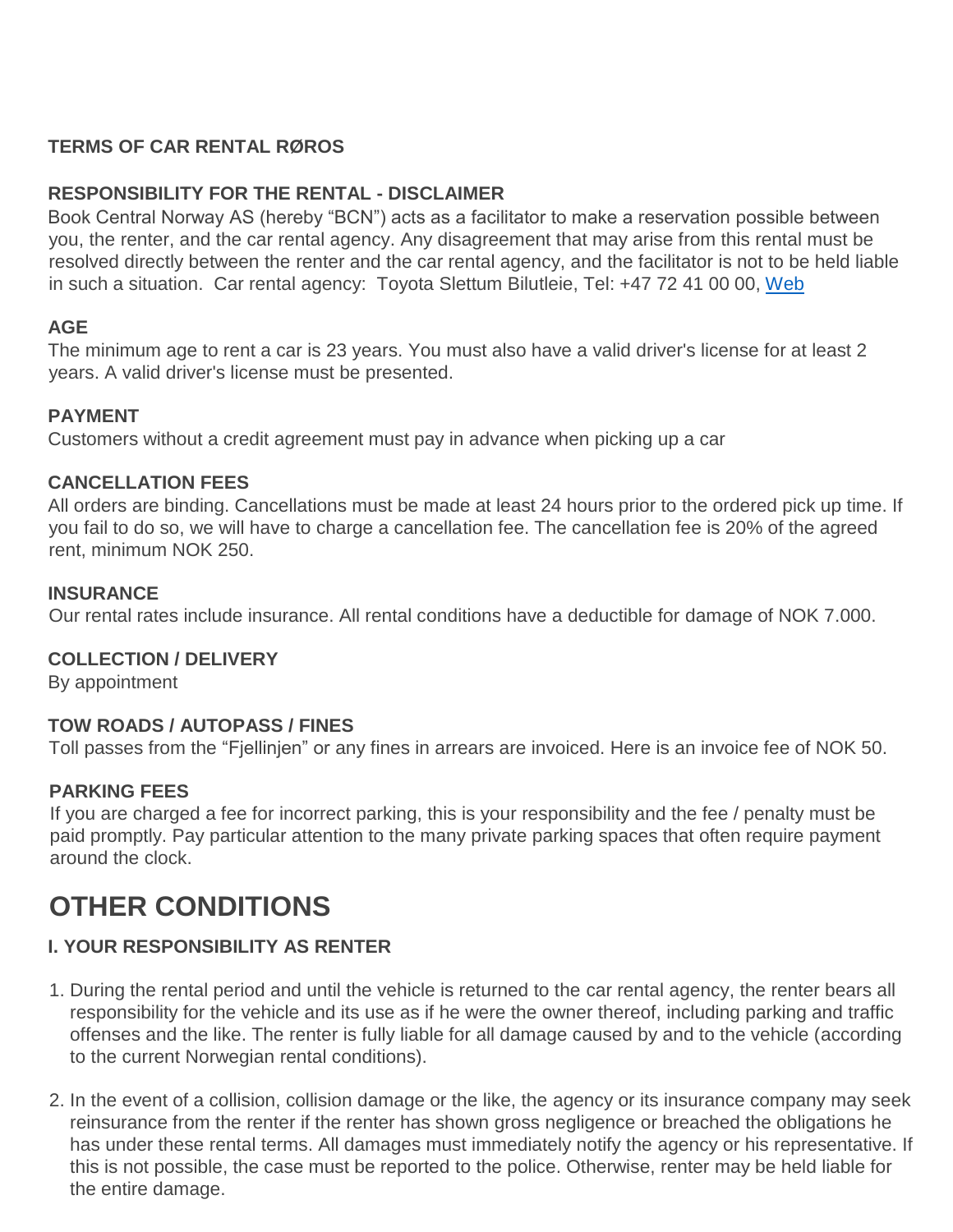# **TERMS OF CAR RENTAL RØROS**

## **RESPONSIBILITY FOR THE RENTAL - DISCLAIMER**

Book Central Norway AS (hereby "BCN") acts as a facilitator to make a reservation possible between you, the renter, and the car rental agency. Any disagreement that may arise from this rental must be resolved directly between the renter and the car rental agency, and the facilitator is not to be held liable in such a situation. Car rental agency: Toyota Slettum Bilutleie, Tel: +47 72 41 00 00, [Web](https://bookingen.roros.no/en/todo)

## **AGE**

The minimum age to rent a car is 23 years. You must also have a valid driver's license for at least 2 years. A valid driver's license must be presented.

## **PAYMENT**

Customers without a credit agreement must pay in advance when picking up a car

#### **CANCELLATION FEES**

All orders are binding. Cancellations must be made at least 24 hours prior to the ordered pick up time. If you fail to do so, we will have to charge a cancellation fee. The cancellation fee is 20% of the agreed rent, minimum NOK 250.

#### **INSURANCE**

Our rental rates include insurance. All rental conditions have a deductible for damage of NOK 7.000.

## **COLLECTION / DELIVERY**

By appointment

## **TOW ROADS / AUTOPASS / FINES**

Toll passes from the "Fjellinjen" or any fines in arrears are invoiced. Here is an invoice fee of NOK 50.

## **PARKING FEES**

If you are charged a fee for incorrect parking, this is your responsibility and the fee / penalty must be paid promptly. Pay particular attention to the many private parking spaces that often require payment around the clock.

# **OTHER CONDITIONS**

# **I. YOUR RESPONSIBILITY AS RENTER**

- 1. During the rental period and until the vehicle is returned to the car rental agency, the renter bears all responsibility for the vehicle and its use as if he were the owner thereof, including parking and traffic offenses and the like. The renter is fully liable for all damage caused by and to the vehicle (according to the current Norwegian rental conditions).
- 2. In the event of a collision, collision damage or the like, the agency or its insurance company may seek reinsurance from the renter if the renter has shown gross negligence or breached the obligations he has under these rental terms. All damages must immediately notify the agency or his representative. If this is not possible, the case must be reported to the police. Otherwise, renter may be held liable for the entire damage.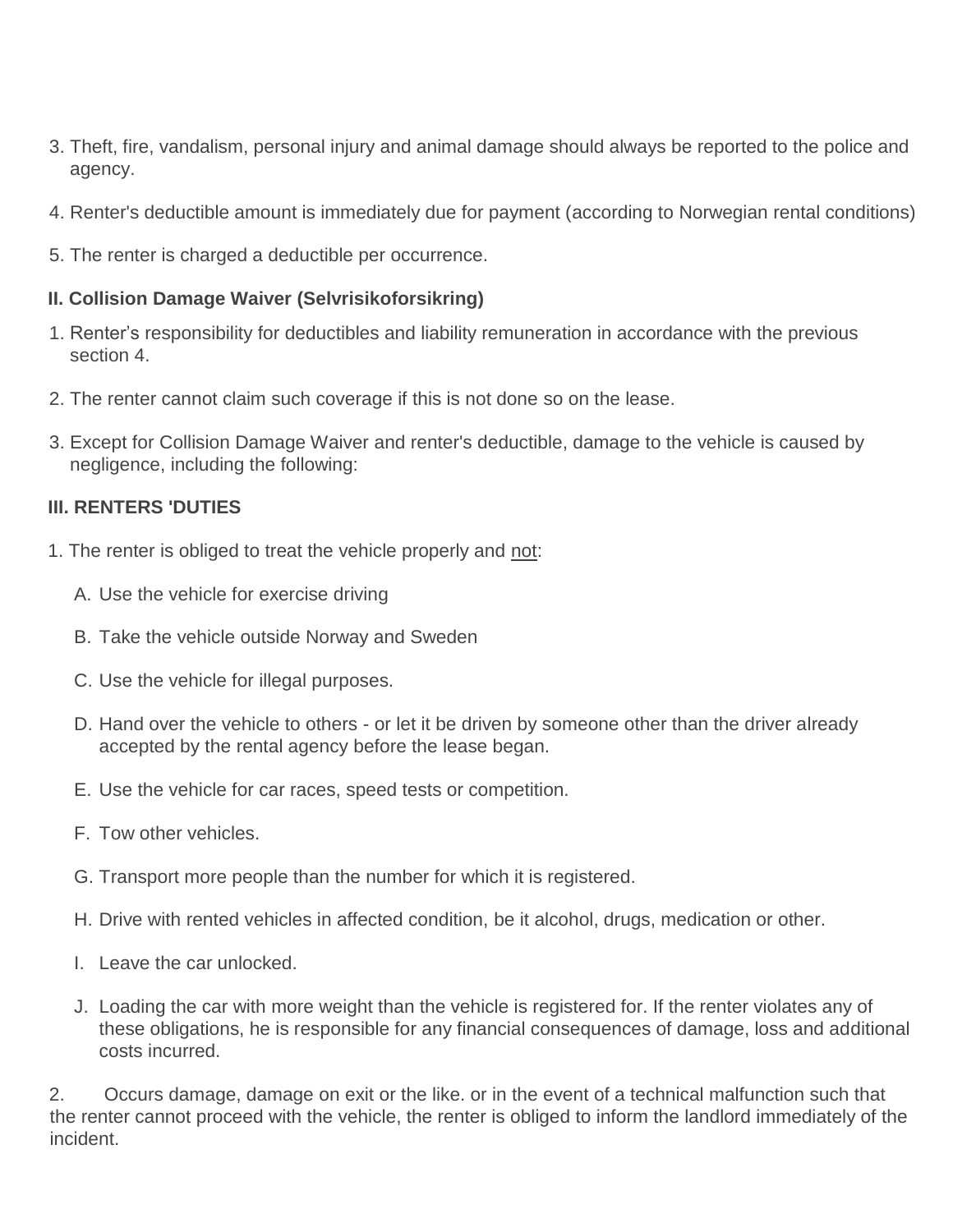- 3. Theft, fire, vandalism, personal injury and animal damage should always be reported to the police and agency.
- 4. Renter's deductible amount is immediately due for payment (according to Norwegian rental conditions)
- 5. The renter is charged a deductible per occurrence.

#### **II. Collision Damage Waiver (Selvrisikoforsikring)**

- 1. Renter's responsibility for deductibles and liability remuneration in accordance with the previous section 4.
- 2. The renter cannot claim such coverage if this is not done so on the lease.
- 3. Except for Collision Damage Waiver and renter's deductible, damage to the vehicle is caused by negligence, including the following:

#### **III. RENTERS 'DUTIES**

- 1. The renter is obliged to treat the vehicle properly and not:
	- A. Use the vehicle for exercise driving
	- B. Take the vehicle outside Norway and Sweden
	- C. Use the vehicle for illegal purposes.
	- D. Hand over the vehicle to others or let it be driven by someone other than the driver already accepted by the rental agency before the lease began.
	- E. Use the vehicle for car races, speed tests or competition.
	- F. Tow other vehicles.
	- G. Transport more people than the number for which it is registered.
	- H. Drive with rented vehicles in affected condition, be it alcohol, drugs, medication or other.
	- I. Leave the car unlocked.
	- J. Loading the car with more weight than the vehicle is registered for. If the renter violates any of these obligations, he is responsible for any financial consequences of damage, loss and additional costs incurred.

2. Occurs damage, damage on exit or the like. or in the event of a technical malfunction such that the renter cannot proceed with the vehicle, the renter is obliged to inform the landlord immediately of the incident.